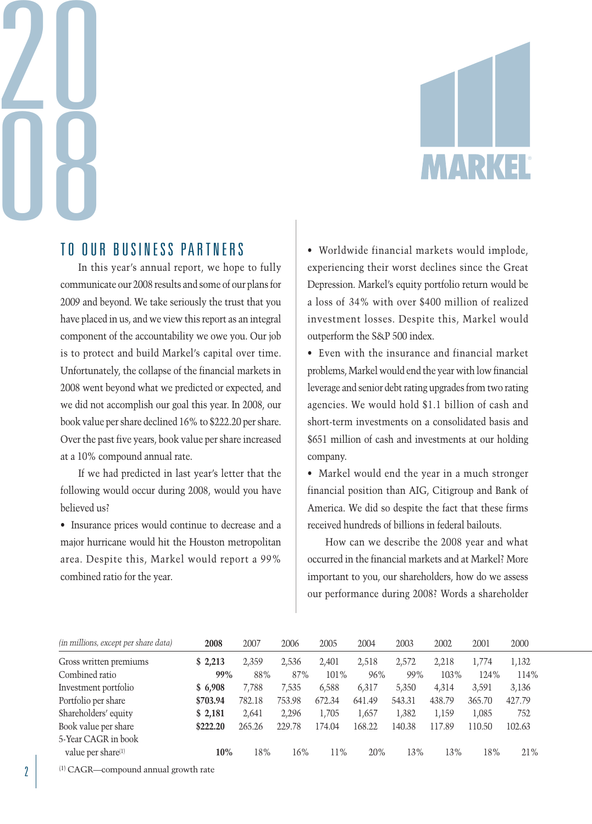# 20 08



# TO OUR BUSINESS PARTNERS

In this year's annual report, we hope to fully communicate our 2008 results and some of our plans for 2009 and beyond. We take seriously the trust that you have placed in us, and we view this report as an integral component of the accountability we owe you. Our job is to protect and build Markel's capital over time. Unfortunately, the collapse of the financial markets in 2008 went beyond what we predicted or expected, and we did not accomplish our goal this year. In 2008, our book value per share declined 16% to \$222.20 per share. Over the past five years, book value per share increased at a 10% compound annual rate.

If we had predicted in last year's letter that the following would occur during 2008, would you have believed us?

• Insurance prices would continue to decrease and a major hurricane would hit the Houston metropolitan area. Despite this, Markel would report a 99% combined ratio for the year.

• Worldwide financial markets would implode, experiencing their worst declines since the Great Depression. Markel's equity portfolio return would be a loss of 34% with over \$400 million of realized investment losses. Despite this, Markel would outperform the S&P 500 index.

• Even with the insurance and financial market problems, Markel would end the year with low financial leverage and senior debt rating upgrades from two rating agencies. We would hold \$1.1 billion of cash and short-term investments on a consolidated basis and \$651 million of cash and investments at our holding company.

• Markel would end the year in a much stronger financial position than AIG, Citigroup and Bank of America. We did so despite the fact that these firms received hundreds of billions in federal bailouts.

How can we describe the 2008 year and what occurred in the financial markets and at Markel? More important to you, our shareholders, how do we assess our performance during 2008? Words a shareholder

| (in millions, except per share data) | 2008     | 2007   | 2006   | 2005   | 2004   | 2003   | 2002   | 2001   | 2000   |
|--------------------------------------|----------|--------|--------|--------|--------|--------|--------|--------|--------|
| Gross written premiums               | \$2,213  | 2,359  | 2,536  | 2,401  | 2,518  | 2,572  | 2,218  | 1,774  | 1,132  |
| Combined ratio                       | 99%      | 88%    | 87%    | 101%   | 96%    | 99%    | 103%   | 124%   | 114%   |
| Investment portfolio                 | \$6,908  | 7.788  | 7,535  | 6,588  | 6,317  | 5,350  | 4,314  | 3,591  | 3,136  |
| Portfolio per share                  | \$703.94 | 782.18 | 753.98 | 672.34 | 641.49 | 543.31 | 438.79 | 365.70 | 427.79 |
| Shareholders' equity                 | \$2,181  | 2.641  | 2,296  | 1,705  | 1,657  | 1,382  | 1.159  | 1,085  | 752    |
| Book value per share                 | \$222.20 | 265.26 | 229.78 | 174.04 | 168.22 | 140.38 | 117.89 | 110.50 | 102.63 |
| 5-Year CAGR in book                  |          |        |        |        |        |        |        |        |        |
| value per share(1)                   | 10%      | 18%    | 16%    | 11%    | 20%    | 13%    | 13%    | 18%    | 21%    |

(1) CAGR—compound annual growth rate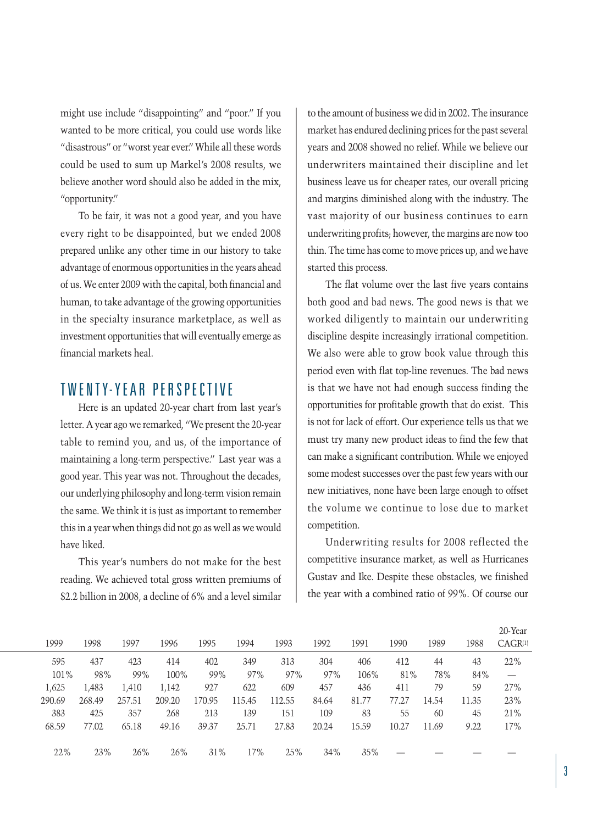might use include "disappointing" and "poor." If you wanted to be more critical, you could use words like "disastrous" or "worst year ever." While all these words could be used to sum up Markel's 2008 results, we believe another word should also be added in the mix, "opportunity."

To be fair, it was not a good year, and you have every right to be disappointed, but we ended 2008 prepared unlike any other time in our history to take advantage of enormous opportunities in the years ahead of us. We enter 2009 with the capital, both financial and human, to take advantage of the growing opportunities in the specialty insurance marketplace, as well as investment opportunities that will eventually emerge as financial markets heal.

# TWENTY-YEAR PERSPECTIVE

Here is an updated 20-year chart from last year's letter. A year ago we remarked, "We present the 20-year table to remind you, and us, of the importance of maintaining a long-term perspective." Last year was a good year. This year was not. Throughout the decades, our underlying philosophy and long-term vision remain the same. We think it is just as important to remember this in a year when things did not go as well as we would have liked.

This year's numbers do not make for the best reading. We achieved total gross written premiums of \$2.2 billion in 2008, a decline of 6% and a level similar to the amount of business we did in 2002. The insurance market has endured declining prices for the past several years and 2008 showed no relief. While we believe our underwriters maintained their discipline and let business leave us for cheaper rates, our overall pricing and margins diminished along with the industry. The vast majority of our business continues to earn underwriting profits; however, the margins are now too thin. The time has come to move prices up, and we have started this process.

The flat volume over the last five years contains both good and bad news. The good news is that we worked diligently to maintain our underwriting discipline despite increasingly irrational competition. We also were able to grow book value through this period even with flat top-line revenues. The bad news is that we have not had enough success finding the opportunities for profitable growth that do exist. This is not for lack of effort. Our experience tells us that we must try many new product ideas to find the few that can make a significant contribution. While we enjoyed some modest successes over the past few years with our new initiatives, none have been large enough to offset the volume we continue to lose due to market competition.

Underwriting results for 2008 reflected the competitive insurance market, as well as Hurricanes Gustav and Ike. Despite these obstacles, we finished the year with a combined ratio of 99%. Of course our

|        |        |        |        |        |        |        |       |       |       |       |       | 20-Year                         |
|--------|--------|--------|--------|--------|--------|--------|-------|-------|-------|-------|-------|---------------------------------|
| 1999   | 1998   | 1997   | 1996   | 1995   | 1994   | 1993   | 1992  | 1991  | 1990  | 1989  | 1988  | $CAGR^{(1)}$                    |
| 595    | 437    | 423    | 414    | 402    | 349    | 313    | 304   | 406   | 412   | 44    | 43    | 22%                             |
| 101%   | 98%    | 99%    | 100%   | 99%    | 97%    | 97%    | 97%   | 106%  | 81%   | 78%   | 84%   | $\hspace{0.1mm}-\hspace{0.1mm}$ |
| 1,625  | 1,483  | 1,410  | 1,142  | 927    | 622    | 609    | 457   | 436   | 411   | 79    | 59    | 27%                             |
| 290.69 | 268.49 | 257.51 | 209.20 | 170.95 | 115.45 | 112.55 | 84.64 | 81.77 | 77.27 | 14.54 | 11.35 | 23%                             |
| 383    | 425    | 357    | 268    | 213    | 139    | 151    | 109   | 83    | 55    | 60    | 45    | 21%                             |
| 68.59  | 77.02  | 65.18  | 49.16  | 39.37  | 25.71  | 27.83  | 20.24 | 15.59 | 10.27 | 11.69 | 9.22  | 17%                             |
|        |        |        |        |        |        |        |       |       |       |       |       |                                 |
| 22%    | 23%    | 26%    | 26%    | 31%    | 17%    | 25%    | 34%   | 35%   |       |       |       |                                 |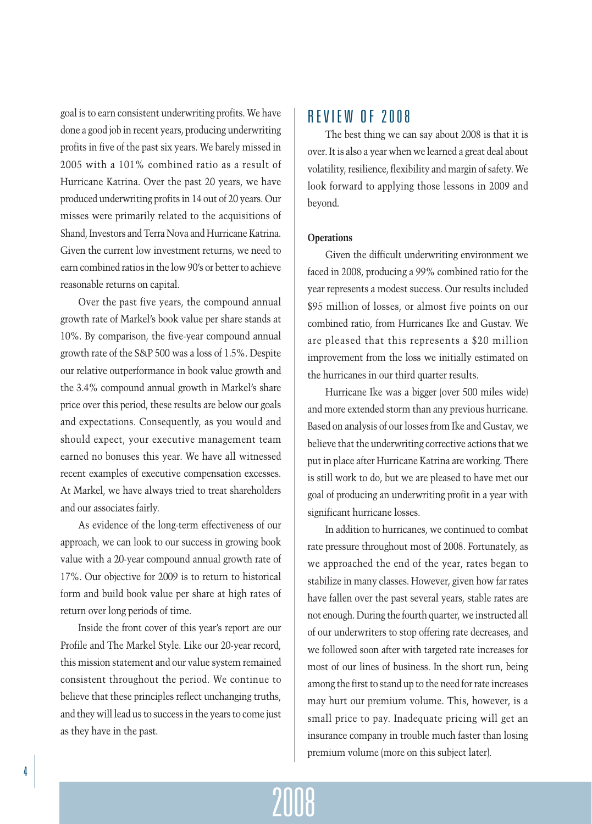goal is to earn consistent underwriting profits. We have done a good job in recent years, producing underwriting profits in five of the past six years. We barely missed in 2005 with a 101% combined ratio as a result of Hurricane Katrina. Over the past 20 years, we have produced underwriting profits in 14 out of 20 years. Our misses were primarily related to the acquisitions of Shand, Investors and Terra Nova and Hurricane Katrina. Given the current low investment returns, we need to earn combined ratios in the low 90's or better to achieve reasonable returns on capital.

Over the past five years, the compound annual growth rate of Markel's book value per share stands at 10%. By comparison, the five-year compound annual growth rate of the S&P 500 was a loss of 1.5%. Despite our relative outperformance in book value growth and the 3.4% compound annual growth in Markel's share price over this period, these results are below our goals and expectations. Consequently, as you would and should expect, your executive management team earned no bonuses this year. We have all witnessed recent examples of executive compensation excesses. At Markel, we have always tried to treat shareholders and our associates fairly.

As evidence of the long-term effectiveness of our approach, we can look to our success in growing book value with a 20-year compound annual growth rate of 17%. Our objective for 2009 is to return to historical form and build book value per share at high rates of return over long periods of time.

Inside the front cover of this year's report are our Profile and The Markel Style. Like our 20-year record, this mission statement and our value system remained consistent throughout the period. We continue to believe that these principles reflect unchanging truths, and they will lead us to success in the years to come just as they have in the past.

## REVIEW OF 2008

The best thing we can say about 2008 is that it is over. It is also a year when we learned a great deal about volatility, resilience, flexibility and margin of safety. We look forward to applying those lessons in 2009 and beyond.

### **Operations**

Given the difficult underwriting environment we faced in 2008, producing a 99% combined ratio for the year represents a modest success. Our results included \$95 million of losses, or almost five points on our combined ratio, from Hurricanes Ike and Gustav. We are pleased that this represents a \$20 million improvement from the loss we initially estimated on the hurricanes in our third quarter results.

Hurricane Ike was a bigger (over 500 miles wide) and more extended storm than any previous hurricane. Based on analysis of our losses from Ike and Gustav, we believe that the underwriting corrective actions that we put in place after Hurricane Katrina are working. There is still work to do, but we are pleased to have met our goal of producing an underwriting profit in a year with significant hurricane losses.

In addition to hurricanes, we continued to combat rate pressure throughout most of 2008. Fortunately, as we approached the end of the year, rates began to stabilize in many classes. However, given how far rates have fallen over the past several years, stable rates are not enough. During the fourth quarter, we instructed all of our underwriters to stop offering rate decreases, and we followed soon after with targeted rate increases for most of our lines of business. In the short run, being among the first to stand up to the need for rate increases may hurt our premium volume. This, however, is a small price to pay. Inadequate pricing will get an insurance company in trouble much faster than losing premium volume (more on this subject later).

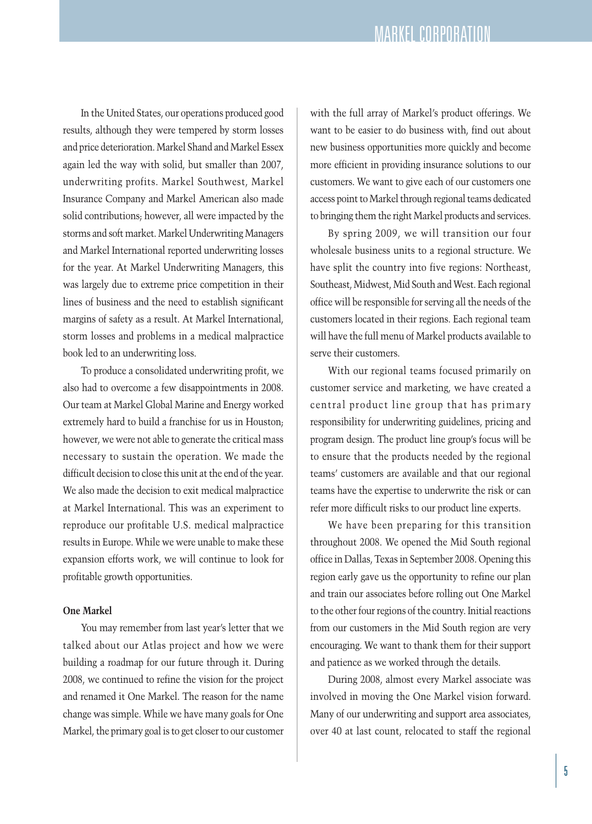In the United States, our operations produced good results, although they were tempered by storm losses and price deterioration. Markel Shand and Markel Essex again led the way with solid, but smaller than 2007, underwriting profits. Markel Southwest, Markel Insurance Company and Markel American also made solid contributions; however, all were impacted by the storms and soft market. Markel Underwriting Managers and Markel International reported underwriting losses for the year. At Markel Underwriting Managers, this was largely due to extreme price competition in their lines of business and the need to establish significant margins of safety as a result. At Markel International, storm losses and problems in a medical malpractice book led to an underwriting loss.

To produce a consolidated underwriting profit, we also had to overcome a few disappointments in 2008. Our team at Markel Global Marine and Energy worked extremely hard to build a franchise for us in Houston; however, we were not able to generate the critical mass necessary to sustain the operation. We made the difficult decision to close this unit at the end of the year. We also made the decision to exit medical malpractice at Markel International. This was an experiment to reproduce our profitable U.S. medical malpractice results in Europe. While we were unable to make these expansion efforts work, we will continue to look for profitable growth opportunities.

### **One Markel**

You may remember from last year's letter that we talked about our Atlas project and how we were building a roadmap for our future through it. During 2008, we continued to refine the vision for the project and renamed it One Markel. The reason for the name change was simple. While we have many goals for One Markel, the primary goal is to get closer to our customer with the full array of Markel's product offerings. We want to be easier to do business with, find out about new business opportunities more quickly and become more efficient in providing insurance solutions to our customers. We want to give each of our customers one access point to Markel through regional teams dedicated to bringing them the right Markel products and services.

By spring 2009, we will transition our four wholesale business units to a regional structure. We have split the country into five regions: Northeast, Southeast, Midwest, Mid South and West. Each regional office will be responsible for serving all the needs of the customers located in their regions. Each regional team will have the full menu of Markel products available to serve their customers.

With our regional teams focused primarily on customer service and marketing, we have created a central product line group that has primary responsibility for underwriting guidelines, pricing and program design. The product line group's focus will be to ensure that the products needed by the regional teams' customers are available and that our regional teams have the expertise to underwrite the risk or can refer more difficult risks to our product line experts.

We have been preparing for this transition throughout 2008. We opened the Mid South regional office in Dallas, Texas in September 2008. Opening this region early gave us the opportunity to refine our plan and train our associates before rolling out One Markel to the other four regions of the country. Initial reactions from our customers in the Mid South region are very encouraging. We want to thank them for their support and patience as we worked through the details.

During 2008, almost every Markel associate was involved in moving the One Markel vision forward. Many of our underwriting and support area associates, over 40 at last count, relocated to staff the regional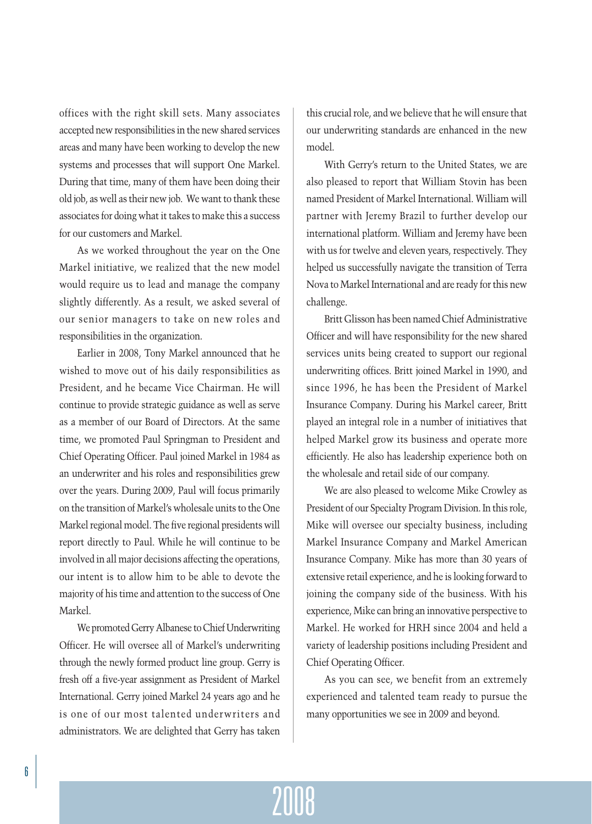offices with the right skill sets. Many associates accepted new responsibilities in the new shared services areas and many have been working to develop the new systems and processes that will support One Markel. During that time, many of them have been doing their old job, as well as their new job. We want to thank these associates for doing what it takes to make this a success for our customers and Markel.

As we worked throughout the year on the One Markel initiative, we realized that the new model would require us to lead and manage the company slightly differently. As a result, we asked several of our senior managers to take on new roles and responsibilities in the organization.

Earlier in 2008, Tony Markel announced that he wished to move out of his daily responsibilities as President, and he became Vice Chairman. He will continue to provide strategic guidance as well as serve as a member of our Board of Directors. At the same time, we promoted Paul Springman to President and Chief Operating Officer. Paul joined Markel in 1984 as an underwriter and his roles and responsibilities grew over the years. During 2009, Paul will focus primarily on the transition of Markel's wholesale units to the One Markel regional model. The five regional presidents will report directly to Paul. While he will continue to be involved in all major decisions affecting the operations, our intent is to allow him to be able to devote the majority of his time and attention to the success of One Markel.

We promoted Gerry Albanese to Chief Underwriting Officer. He will oversee all of Markel's underwriting through the newly formed product line group. Gerry is fresh off a five-year assignment as President of Markel International. Gerry joined Markel 24 years ago and he is one of our most talented underwriters and administrators. We are delighted that Gerry has taken

this crucial role, and we believe that he will ensure that our underwriting standards are enhanced in the new model.

With Gerry's return to the United States, we are also pleased to report that William Stovin has been named President of Markel International. William will partner with Jeremy Brazil to further develop our international platform. William and Jeremy have been with us for twelve and eleven years, respectively. They helped us successfully navigate the transition of Terra Nova to Markel International and are ready forthis new challenge.

Britt Glisson has been named Chief Administrative Officer and will have responsibility for the new shared services units being created to support our regional underwriting offices. Britt joined Markel in 1990, and since 1996, he has been the President of Markel Insurance Company. During his Markel career, Britt played an integral role in a number of initiatives that helped Markel grow its business and operate more efficiently. He also has leadership experience both on the wholesale and retail side of our company.

We are also pleased to welcome Mike Crowley as President of our Specialty Program Division. In this role, Mike will oversee our specialty business, including Markel Insurance Company and Markel American Insurance Company. Mike has more than 30 years of extensive retail experience, and he is looking forward to joining the company side of the business. With his experience, Mike can bring an innovative perspective to Markel. He worked for HRH since 2004 and held a variety of leadership positions including President and Chief Operating Officer.

As you can see, we benefit from an extremely experienced and talented team ready to pursue the many opportunities we see in 2009 and beyond.

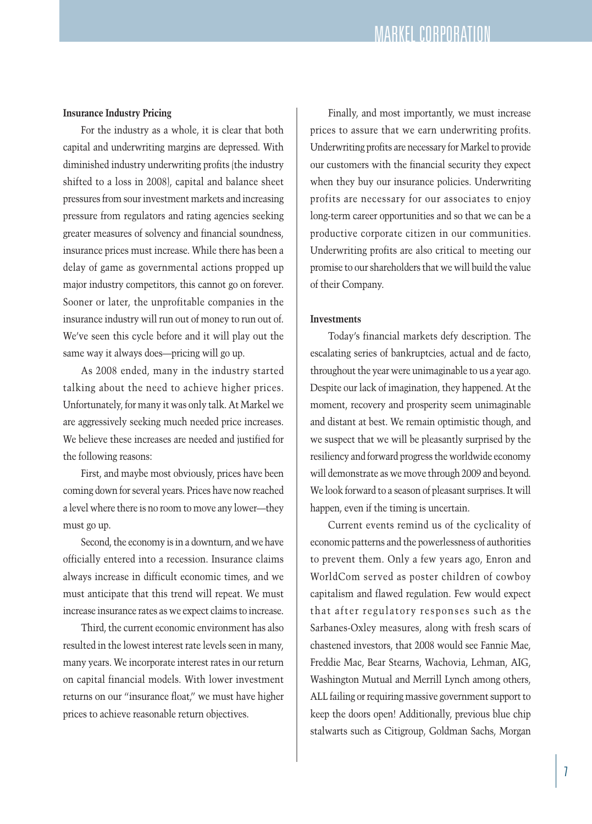### **Insurance Industry Pricing**

For the industry as a whole, it is clear that both capital and underwriting margins are depressed. With diminished industry underwriting profits (the industry shifted to a loss in 2008), capital and balance sheet pressures from sourinvestment markets and increasing pressure from regulators and rating agencies seeking greater measures of solvency and financial soundness, insurance prices must increase. While there has been a delay of game as governmental actions propped up major industry competitors, this cannot go on forever. Sooner or later, the unprofitable companies in the insurance industry will run out of money to run out of. We've seen this cycle before and it will play out the same way it always does—pricing will go up.

As 2008 ended, many in the industry started talking about the need to achieve higher prices. Unfortunately, for many it was only talk. At Markel we are aggressively seeking much needed price increases. We believe these increases are needed and justified for the following reasons:

First, and maybe most obviously, prices have been coming down for several years. Prices have now reached a level where there is no room to move any lower—they must go up.

Second, the economy is in a downturn, and we have officially entered into a recession. Insurance claims always increase in difficult economic times, and we must anticipate that this trend will repeat. We must increase insurance rates as we expect claims to increase.

Third, the current economic environment has also resulted in the lowest interest rate levels seen in many, many years. We incorporate interest rates in our return on capital financial models. With lower investment returns on our "insurance float," we must have higher prices to achieve reasonable return objectives.

Finally, and most importantly, we must increase prices to assure that we earn underwriting profits. Underwriting profits are necessary for Markel to provide our customers with the financial security they expect when they buy our insurance policies. Underwriting profits are necessary for our associates to enjoy long-term career opportunities and so that we can be a productive corporate citizen in our communities. Underwriting profits are also critical to meeting our promise to our shareholders that we will build the value of their Company.

### **Investments**

Today's financial markets defy description. The escalating series of bankruptcies, actual and de facto, throughout the year were unimaginable to us a year ago. Despite our lack of imagination, they happened. At the moment, recovery and prosperity seem unimaginable and distant at best. We remain optimistic though, and we suspect that we will be pleasantly surprised by the resiliency and forward progress the worldwide economy will demonstrate as we move through 2009 and beyond. We look forward to a season of pleasant surprises. It will happen, even if the timing is uncertain.

Current events remind us of the cyclicality of economic patterns and the powerlessness of authorities to prevent them. Only a few years ago, Enron and WorldCom served as poster children of cowboy capitalism and flawed regulation. Few would expect that after regulatory responses such as the Sarbanes-Oxley measures, along with fresh scars of chastened investors, that 2008 would see Fannie Mae, Freddie Mac, Bear Stearns, Wachovia, Lehman, AIG, Washington Mutual and Merrill Lynch among others, ALL failing or requiring massive government support to keep the doors open! Additionally, previous blue chip stalwarts such as Citigroup, Goldman Sachs, Morgan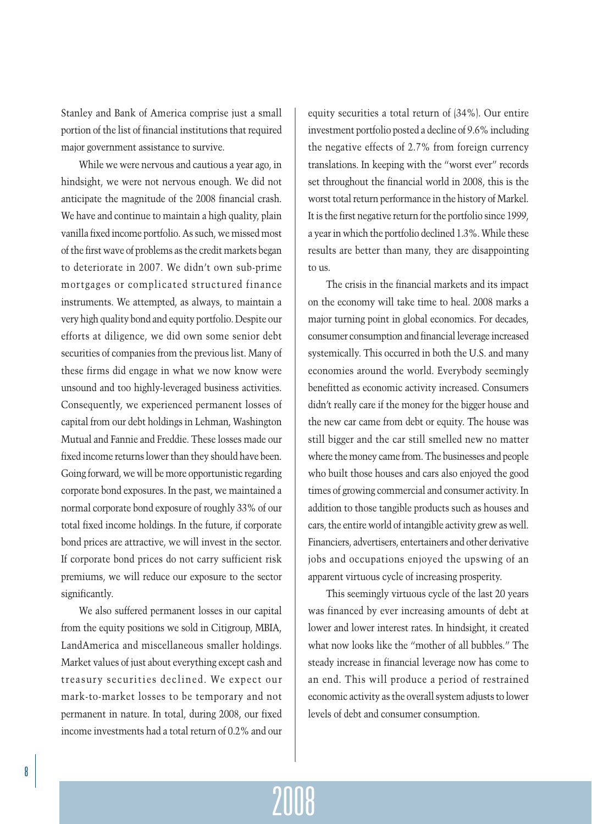Stanley and Bank of America comprise just a small portion of the list of financial institutions that required major government assistance to survive.

While we were nervous and cautious a year ago, in hindsight, we were not nervous enough. We did not anticipate the magnitude of the 2008 financial crash. We have and continue to maintain a high quality, plain vanilla fixed income portfolio. As such, we missed most of the first wave of problems as the credit markets began to deteriorate in 2007. We didn't own sub-prime mortgages or complicated structured finance instruments. We attempted, as always, to maintain a very high quality bond and equity portfolio. Despite our efforts at diligence, we did own some senior debt securities of companies from the previous list. Many of these firms did engage in what we now know were unsound and too highly-leveraged business activities. Consequently, we experienced permanent losses of capital from our debt holdings in Lehman, Washington Mutual and Fannie and Freddie. These losses made our fixed income returns lower than they should have been. Going forward, we will be more opportunistic regarding corporate bond exposures. In the past, we maintained a normal corporate bond exposure of roughly 33% of our total fixed income holdings. In the future, if corporate bond prices are attractive, we will invest in the sector. If corporate bond prices do not carry sufficient risk premiums, we will reduce our exposure to the sector significantly.

We also suffered permanent losses in our capital from the equity positions we sold in Citigroup, MBIA, LandAmerica and miscellaneous smaller holdings. Market values of just about everything except cash and treasury securities declined. We expect our mark-to-market losses to be temporary and not permanent in nature. In total, during 2008, our fixed income investments had a total return of 0.2% and our equity securities a total return of (34%). Our entire investment portfolio posted a decline of 9.6% including the negative effects of 2.7% from foreign currency translations. In keeping with the "worst ever" records set throughout the financial world in 2008, this is the worst total return performance in the history of Markel. It is the first negative return for the portfolio since 1999, a year in which the portfolio declined 1.3%. While these results are better than many, they are disappointing to us.

The crisis in the financial markets and its impact on the economy will take time to heal. 2008 marks a major turning point in global economics. For decades, consumer consumption and financial leverage increased systemically. This occurred in both the U.S. and many economies around the world. Everybody seemingly benefitted as economic activity increased. Consumers didn't really care if the money for the bigger house and the new car came from debt or equity. The house was still bigger and the car still smelled new no matter where the money came from. The businesses and people who built those houses and cars also enjoyed the good times of growing commercial and consumer activity. In addition to those tangible products such as houses and cars, the entire world of intangible activity grew as well. Financiers, advertisers, entertainers and other derivative jobs and occupations enjoyed the upswing of an apparent virtuous cycle of increasing prosperity.

This seemingly virtuous cycle of the last 20 years was financed by ever increasing amounts of debt at lower and lower interest rates. In hindsight, it created what now looks like the "mother of all bubbles." The steady increase in financial leverage now has come to an end. This will produce a period of restrained economic activity as the overall system adjusts to lower levels of debt and consumer consumption.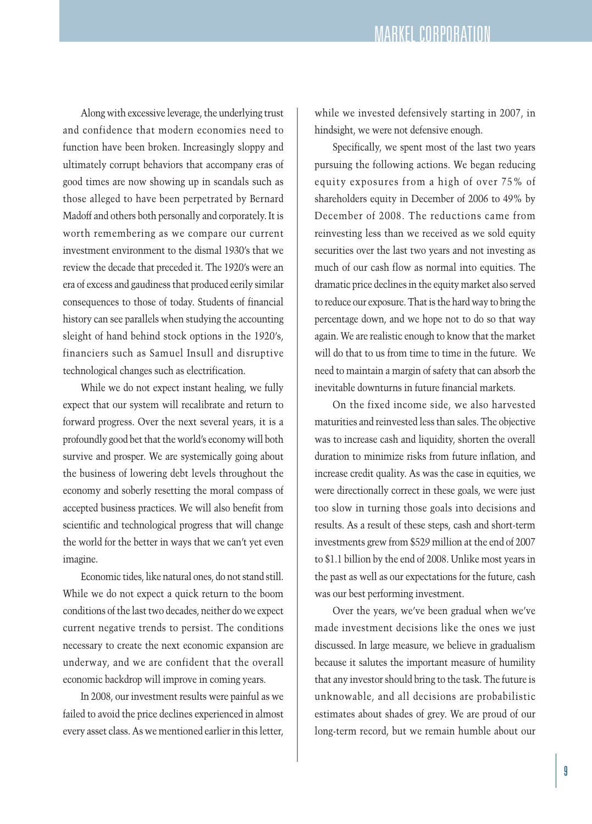Along with excessive leverage, the underlying trust and confidence that modern economies need to function have been broken. Increasingly sloppy and ultimately corrupt behaviors that accompany eras of good times are now showing up in scandals such as those alleged to have been perpetrated by Bernard Madoff and others both personally and corporately. It is worth remembering as we compare our current investment environment to the dismal 1930's that we review the decade that preceded it. The 1920's were an era of excess and gaudiness that produced eerily similar consequences to those of today. Students of financial history can see parallels when studying the accounting sleight of hand behind stock options in the 1920's, financiers such as Samuel Insull and disruptive technological changes such as electrification.

While we do not expect instant healing, we fully expect that our system will recalibrate and return to forward progress. Over the next several years, it is a profoundly good bet that the world's economy will both survive and prosper. We are systemically going about the business of lowering debt levels throughout the economy and soberly resetting the moral compass of accepted business practices. We will also benefit from scientific and technological progress that will change the world for the better in ways that we can't yet even imagine.

Economic tides, like natural ones, do not stand still. While we do not expect a quick return to the boom conditions of the last two decades, neither do we expect current negative trends to persist. The conditions necessary to create the next economic expansion are underway, and we are confident that the overall economic backdrop will improve in coming years.

In 2008, our investment results were painful as we failed to avoid the price declines experienced in almost every asset class. As we mentioned earlier in this letter, while we invested defensively starting in 2007, in hindsight, we were not defensive enough.

Specifically, we spent most of the last two years pursuing the following actions. We began reducing equity exposures from a high of over 75% of shareholders equity in December of 2006 to 49% by December of 2008. The reductions came from reinvesting less than we received as we sold equity securities over the last two years and not investing as much of our cash flow as normal into equities. The dramatic price declines in the equity market also served to reduce our exposure. That is the hard way to bring the percentage down, and we hope not to do so that way again. We are realistic enough to know that the market will do that to us from time to time in the future. We need to maintain a margin of safety that can absorb the inevitable downturns in future financial markets.

On the fixed income side, we also harvested maturities and reinvested less than sales. The objective was to increase cash and liquidity, shorten the overall duration to minimize risks from future inflation, and increase credit quality. As was the case in equities, we were directionally correct in these goals, we were just too slow in turning those goals into decisions and results. As a result of these steps, cash and short-term investments grew from \$529 million at the end of 2007 to \$1.1 billion by the end of 2008. Unlike most years in the past as well as our expectations for the future, cash was our best performing investment.

Over the years, we've been gradual when we've made investment decisions like the ones we just discussed. In large measure, we believe in gradualism because it salutes the important measure of humility that any investor should bring to the task. The future is unknowable, and all decisions are probabilistic estimates about shades of grey. We are proud of our long-term record, but we remain humble about our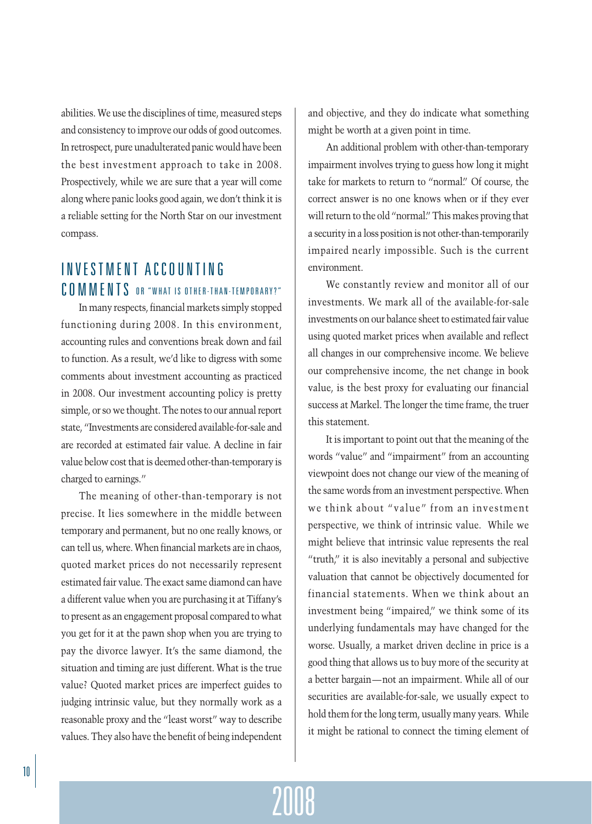abilities. We use the disciplines of time, measured steps and consistency to improve our odds of good outcomes. In retrospect, pure unadulterated panic would have been the best investment approach to take in 2008. Prospectively, while we are sure that a year will come along where panic looks good again, we don't think it is a reliable setting for the North Star on our investment compass.

# INVESTMENT ACCOUNTING COMMENTS OR "WHAT IS OTHER-THAN-TEMPORARY?"

In many respects, financial markets simply stopped functioning during 2008. In this environment, accounting rules and conventions break down and fail to function. As a result, we'd like to digress with some comments about investment accounting as practiced in 2008. Our investment accounting policy is pretty simple, or so we thought. The notes to our annual report state, "Investments are considered available-for-sale and are recorded at estimated fair value. A decline in fair value below cost that is deemed other-than-temporary is charged to earnings."

The meaning of other-than-temporary is not precise. It lies somewhere in the middle between temporary and permanent, but no one really knows, or can tell us, where. When financial markets are in chaos, quoted market prices do not necessarily represent estimated fair value. The exact same diamond can have a different value when you are purchasing it at Tiffany's to present as an engagement proposal compared to what you get for it at the pawn shop when you are trying to pay the divorce lawyer. It's the same diamond, the situation and timing are just different. What is the true value? Quoted market prices are imperfect guides to judging intrinsic value, but they normally work as a reasonable proxy and the "least worst" way to describe values. They also have the benefit of being independent and objective, and they do indicate what something might be worth at a given point in time.

An additional problem with other-than-temporary impairment involves trying to guess how long it might take for markets to return to "normal." Of course, the correct answer is no one knows when or if they ever will return to the old "normal." This makes proving that a security in a loss position is not other-than-temporarily impaired nearly impossible. Such is the current environment.

We constantly review and monitor all of our investments. We mark all of the available-for-sale investments on our balance sheet to estimated fair value using quoted market prices when available and reflect all changes in our comprehensive income. We believe our comprehensive income, the net change in book value, is the best proxy for evaluating our financial success at Markel. The longer the time frame, the truer this statement.

It is important to point out that the meaning of the words "value" and "impairment" from an accounting viewpoint does not change our view of the meaning of the same words from an investment perspective. When we think about "value" from an investment perspective, we think of intrinsic value. While we might believe that intrinsic value represents the real "truth," it is also inevitably a personal and subjective valuation that cannot be objectively documented for financial statements. When we think about an investment being "impaired," we think some of its underlying fundamentals may have changed for the worse. Usually, a market driven decline in price is a good thing that allows us to buy more of the security at a better bargain—not an impairment. While all of our securities are available-for-sale, we usually expect to hold them for the long term, usually many years. While it might be rational to connect the timing element of